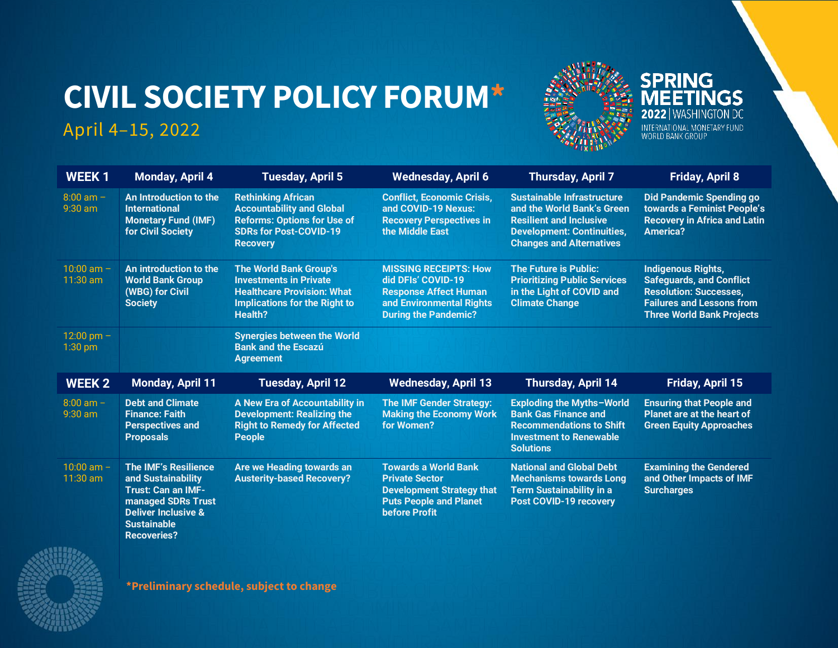# **CIVIL SOCIETY POLICY FORUM\***

## April 4–15, 2022



**WEEK 1 Monday, April 4 Tuesday, April 5 Wednesday, April 6 Thursday, April 7 Friday, April 8** 8:00 am – 9:30 am **[An Introduction to the](#page-1-0)  [International](#page-1-0)  [Monetary Fund \(IMF\)](#page-1-0)  [for Civil Society](#page-1-0) [Rethinking African](#page-1-1)  [Accountability and Global](#page-1-1)  [Reforms: Options for Use of](#page-1-1)  [SDRs for Post-COVID-19](#page-1-1)  [Recovery](#page-1-1) [Conflict, Economic Crisis,](#page-2-0)  [and COVID-19 Nexus:](#page-2-0)  [Recovery Perspectives in](#page-2-0)  [the Middle East](#page-2-0) [Sustainable Infrastructure](#page-4-0)  [and the World Bank's Green](#page-4-0)  [Resilient and Inclusive](#page-4-0)  [Development: Continuities,](#page-4-0)  [Changes and Alternatives](#page-4-0) [Did Pandemic Spending go](#page-5-0)  towards a F[eminist People's](#page-5-0)  [Recovery in Africa and Latin](#page-5-0)  [America?](#page-5-0)** 10:00 am – 11:30 am **[An introduction to the](#page-1-2)  [World Bank Group](#page-1-2)  [\(WBG\) for Civil](#page-1-2)  [Society](#page-1-2) [The World Bank Group's](#page-2-1)  [Investments in Private](#page-2-1)  [Healthcare Provision: What](#page-2-1)  [Implications for the Right to](#page-2-1)  [Health?](#page-2-1) [MISSING RECEIPTS: How](#page-3-0)  [did DFIs' COVID](#page-3-0)-19 [Response Affect Human](#page-3-0)  [and Environmental Rights](#page-3-0)  During the [Pandemic?](#page-3-0) [The Future is Public:](#page-4-1)  [Prioritizing Public Services](#page-4-1)  [in the Light of COVID](#page-4-1) and [Climate Change](#page-4-1) [Indigenous Rights,](#page-5-1)  [Safeguards, and Conflict](#page-5-1)  [Resolution: Successes,](#page-5-1)  [Failures and Lessons from](#page-5-1)  [Three World Bank Projects](#page-5-1)**  $12:00$  pm  $-$ 1:30 pm **[Synergies between the World](#page-2-0)  [Bank and the Escazú](#page-2-0)  [Agreement](#page-2-0) WEEK 2 Monday, April 11 Tuesday, April 12 Wednesday, April 13 Thursday, April 14 Friday, April 15** 8:00 am – 9:30 am **[Debt and Climate](#page-6-0)  [Finance: Faith](#page-6-0)  [Perspectives and](#page-6-0)  [Proposals](#page-6-0) [A New Era of Accountability in](#page-7-0)  [Development: Realizing the](#page-7-0)  [Right to Remedy for Affected](#page-7-0)  [People](#page-7-0) [The IMF Gender Strategy:](#page-8-0)  [Making the Economy Work](#page-8-0)  [for Women?](#page-8-0) [Exploding the Myths](#page-9-0)–World [Bank Gas Finance and](#page-9-0)  [Recommendations to Shift](#page-9-0)  [Investment to Renewable](#page-9-0)  [Solutions](#page-9-0) [Ensuring that People and](#page-10-0)  [Planet are at the heart of](#page-10-0)  [Green Equity Approaches](#page-10-0)** 10:00 am – 11:30 am **[The IMF's Resilience](#page-6-1)  [and Sustainability](#page-6-1)  [Trust: Can an IMF](#page-6-1)[managed SDRs Trust](#page-6-1)  [Deliver Inclusive &](#page-6-1)  [Sustainable](#page-6-1)  [Are we Heading towards an](#page-7-1)  [Austerity-based Recovery?](#page-7-1) [Towards a World Bank](#page-8-1)  [Private Sector](#page-8-1)  [Development Strategy that](#page-8-1)  [Puts People and Planet](#page-8-1)  [before Profit](#page-8-1) [National and Global Debt](#page-9-1)  [Mechanisms towards Long](#page-9-1)  [Term Sustainability in a](#page-9-1)  [Post COVID-19 recovery](#page-9-1) [Examining the Gendered](#page-10-1)  [and Other Impacts of IMF](#page-10-1)  [Surcharges](#page-10-1)**



**\*Preliminary schedule, subject to change**

**[Recoveries?](#page-6-1)**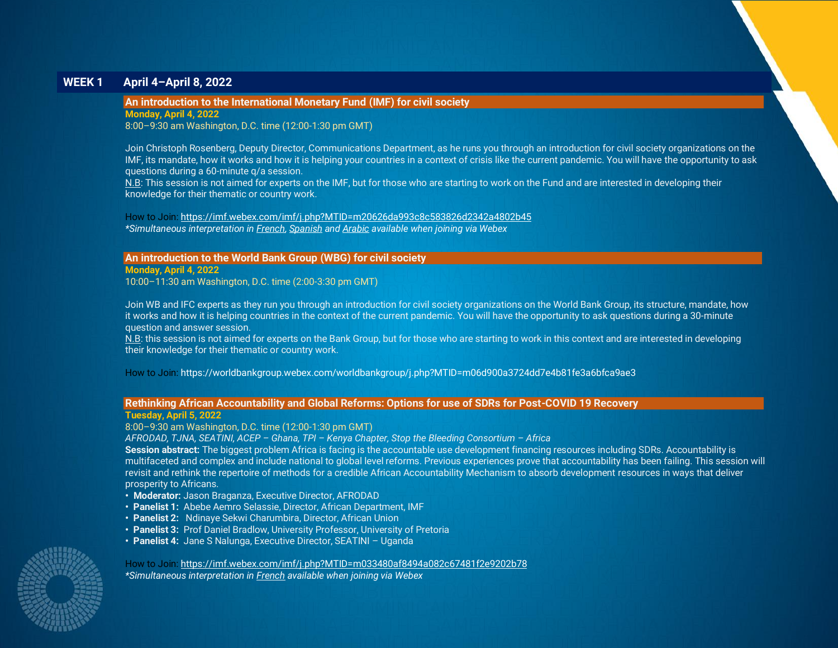## **WEEK 1 April 4–April 8, 2022**

## <span id="page-1-0"></span>**An introduction to the International Monetary Fund (IMF) for civil society**

**Monday, April 4, 2022**

8:00–9:30 am Washington, D.C. time (12:00-1:30 pm GMT)

Join Christoph Rosenberg, Deputy Director, Communications Department, as he runs you through an introduction for civil society organizations on the IMF, its mandate, how it works and how it is helping your countries in a context of crisis like the current pandemic. You will have the opportunity to ask questions during a 60-minute q/a session.

N.B: This session is not aimed for experts on the IMF, but for those who are starting to work on the Fund and are interested in developing their knowledge for their thematic or country work.

How to Join[: https://imf.webex.com/imf/j.php?MTID=m20626da993c8c583826d2342a4802b45](https://nam10.safelinks.protection.outlook.com/?url=https%3A%2F%2Fimf.webex.com%2Fimf%2Fj.php%3FMTID%3Dm20626da993c8c583826d2342a4802b45&data=04%7C01%7CAHowes%40imf.org%7C0dcd877d3ac84c954fdc08da12509a73%7C8085fa43302e45bdb171a6648c3b6be7%7C0%7C0%7C637842434951549195%7CUnknown%7CTWFpbGZsb3d8eyJWIjoiMC4wLjAwMDAiLCJQIjoiV2luMzIiLCJBTiI6Ik1haWwiLCJXVCI6Mn0%3D%7C3000&sdata=quoqMLT%2BgAgoLiRfB8NvrdM341y532sW7TQri%2BL7qo0%3D&reserved=0) *\*Simultaneous interpretation in French, Spanish and Arabic available when joining via Webex*

## <span id="page-1-2"></span>**An introduction to the World Bank Group (WBG) for civil society**

**Monday, April 4, 2022**

10:00–11:30 am Washington, D.C. time (2:00-3:30 pm GMT)

Join WB and IFC experts as they run you through an introduction for civil society organizations on the World Bank Group, its structure, mandate, how it works and how it is helping countries in the context of the current pandemic. You will have the opportunity to ask questions during a 30-minute question and answer session.

N.B: this session is not aimed for experts on the Bank Group, but for those who are starting to work in this context and are interested in developing their knowledge for their thematic or country work.

How to Join: https://worldbankgroup.webex.com/worldbankgroup/j.php?MTID=m06d900a3724dd7e4b81fe3a6bfca9ae3

#### <span id="page-1-1"></span>**Rethinking African Accountability and Global Reforms: Options for use of SDRs for Post-COVID 19 Recovery**

#### **Tuesday, April 5, 2022**

8:00–9:30 am Washington, D.C. time (12:00-1:30 pm GMT)

*AFRODAD, TJNA, SEATINI, ACEP – Ghana, TPI – Kenya Chapter, Stop the Bleeding Consortium – Africa*

**Session abstract:** The biggest problem Africa is facing is the accountable use development financing resources including SDRs. Accountability is multifaceted and complex and include national to global level reforms. Previous experiences prove that accountability has been failing. This session will revisit and rethink the repertoire of methods for a credible African Accountability Mechanism to absorb development resources in ways that deliver prosperity to Africans.

- **• Moderator:** Jason Braganza, Executive Director, AFRODAD
- **Panelist 1:** Abebe Aemro Selassie, Director, African Department, IMF
- **Panelist 2:** Ndinaye Sekwi Charumbira, Director, African Union
- **Panelist 3:** Prof Daniel Bradlow, University Professor, University of Pretoria
- **Panelist 4:** Jane S Nalunga, Executive Director, SEATINI Uganda

How to Join: [https://imf.webex.com/imf/j.php?MTID=m033480af8494a082c67481f2e9202b78](https://nam10.safelinks.protection.outlook.com/?url=https%3A%2F%2Fimf.webex.com%2Fimf%2Fj.php%3FMTID%3Dm033480af8494a082c67481f2e9202b78&data=04%7C01%7CAHowes%40imf.org%7C0dcd877d3ac84c954fdc08da12509a73%7C8085fa43302e45bdb171a6648c3b6be7%7C0%7C0%7C637842434951705437%7CUnknown%7CTWFpbGZsb3d8eyJWIjoiMC4wLjAwMDAiLCJQIjoiV2luMzIiLCJBTiI6Ik1haWwiLCJXVCI6Mn0%3D%7C3000&sdata=mkOCnL25Eg0xOx3lfWtSehnz449PIUwx1uYOojD0D5Q%3D&reserved=0) *\*Simultaneous interpretation in French available when joining via Webex*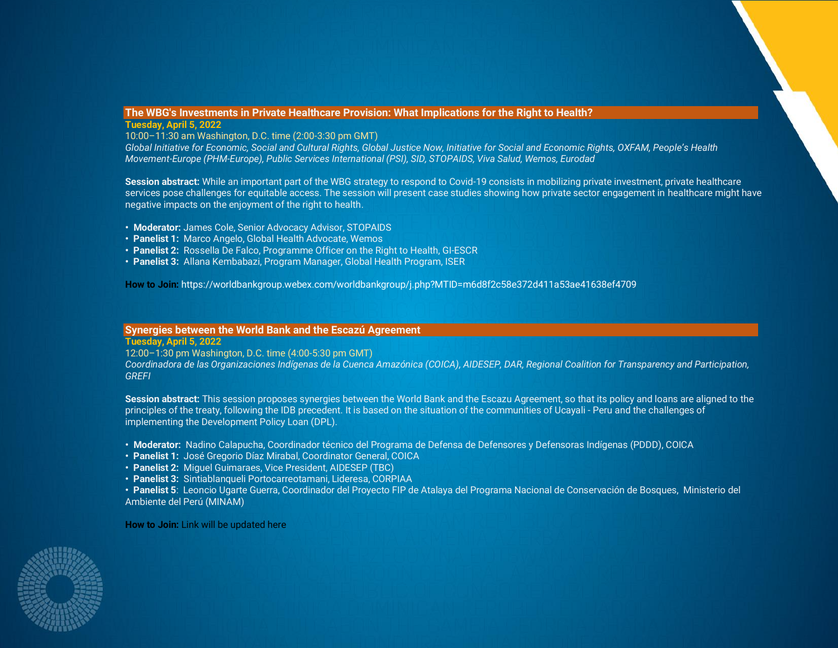## <span id="page-2-1"></span>**The WBG's Investments in Private Healthcare Provision: What Implications for the Right to Health?**

## **Tuesday, April 5, 2022**

10:00–11:30 am Washington, D.C. time (2:00-3:30 pm GMT)

*Global Initiative for Economic, Social and Cultural Rights, Global Justice Now, Initiative for Social and Economic Rights, OXFAM, People's Health Movement-Europe (PHM-Europe), Public Services International (PSI), SID, STOPAIDS, Viva Salud, Wemos, Eurodad*

**Session abstract:** While an important part of the WBG strategy to respond to Covid-19 consists in mobilizing private investment, private healthcare services pose challenges for equitable access. The session will present case studies showing how private sector engagement in healthcare might have negative impacts on the enjoyment of the right to health.

- **• Moderator:** James Cole, Senior Advocacy Advisor, STOPAIDS
- **• Panelist 1:** Marco Angelo, Global Health Advocate, Wemos
- **•** Panelist 2: Rossella De Falco, Programme Officer on the Right to Health, GI-ESCR
- **Panelist 3:** Allana Kembabazi, Program Manager, Global Health Program, ISER

**How to Join:** https://worldbankgroup.webex.com/worldbankgroup/j.php?MTID=m6d8f2c58e372d411a53ae41638ef4709

## <span id="page-2-0"></span>**Synergies between the World Bank and the Escazú Agreement**

## **Tuesday, April 5, 2022**

12:00–1:30 pm Washington, D.C. time (4:00-5:30 pm GMT)

*Coordinadora de las Organizaciones Indígenas de la Cuenca Amazónica (COICA), AIDESEP, DAR, Regional Coalition for Transparency and Participation, GREFI*

Session abstract: This session proposes synergies between the World Bank and the Escazu Agreement, so that its policy and loans are aligned to the principles of the treaty, following the IDB precedent. It is based on the situation of the communities of Ucayali - Peru and the challenges of implementing the Development Policy Loan (DPL).

- **• Moderator:** Nadino Calapucha, Coordinador técnico del Programa de Defensa de Defensores y Defensoras Indígenas (PDDD), COICA
- **• Panelist 1:** José Gregorio Díaz Mirabal, Coordinator General, COICA
- **• Panelist 2:** Miguel Guimaraes, Vice President, AIDESEP (TBC)
- **• Panelist 3:** Sintiablanqueli Portocarreotamani, Lideresa, CORPIAA

**• Panelist 5**: Leoncio Ugarte Guerra, Coordinador del Proyecto FIP de Atalaya del Programa Nacional de Conservación de Bosques, Ministerio del Ambiente del Perú (MINAM)

**How to Join:** Link will be updated here

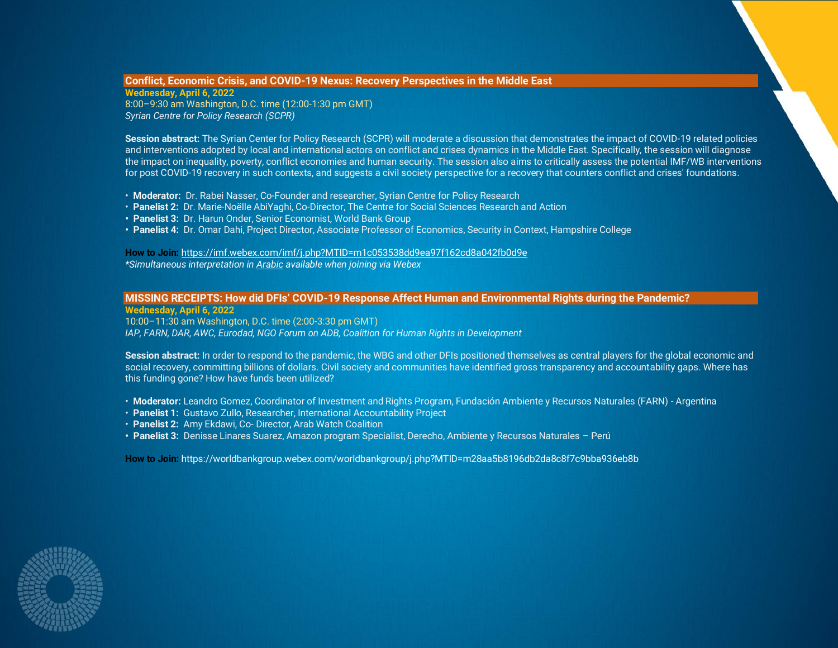## **Conflict, Economic Crisis, and COVID-19 Nexus: Recovery Perspectives in the Middle East**

**Wednesday, April 6, 2022** 8:00–9:30 am Washington, D.C. time (12:00-1:30 pm GMT) *Syrian Centre for Policy Research (SCPR)*

**Session abstract:** The Syrian Center for Policy Research (SCPR) will moderate a discussion that demonstrates the impact of COVID-19 related policies and interventions adopted by local and international actors on conflict and crises dynamics in the Middle East. Specifically, the session will diagnose the impact on inequality, poverty, conflict economies and human security. The session also aims to critically assess the potential IMF/WB interventions for post COVID-19 recovery in such contexts, and suggests a civil society perspective for a recovery that counters conflict and crises' foundations.

- **Moderator:** Dr. Rabei Nasser, Co-Founder and researcher, Syrian Centre for Policy Research
- **Panelist 2:** Dr. Marie-Noëlle AbiYaghi, Co-Director, The Centre for Social Sciences Research and Action
- **• Panelist 3:** Dr. Harun Onder, Senior Economist, World Bank Group
- **• Panelist 4:** Dr. Omar Dahi, Project Director, Associate Professor of Economics, Security in Context, Hampshire College

**How to Join:** <https://imf.webex.com/imf/j.php?MTID=m1c053538dd9ea97f162cd8a042fb0d9e> *\*Simultaneous interpretation in Arabic available when joining via Webex*

## <span id="page-3-0"></span>**MISSING RECEIPTS: How did DFIs' COVID-19 Response Affect Human and Environmental Rights during the Pandemic?**

**Wednesday, April 6, 2022**

10:00–11:30 am Washington, D.C. time (2:00-3:30 pm GMT)

*IAP, FARN, DAR, AWC, Eurodad, NGO Forum on ADB, Coalition for Human Rights in Development*

**Session abstract:** In order to respond to the pandemic, the WBG and other DFIs positioned themselves as central players for the global economic and social recovery, committing billions of dollars. Civil society and communities have identified gross transparency and accountability gaps. Where has this funding gone? How have funds been utilized?

- **Moderator:** Leandro Gomez, Coordinator of Investment and Rights Program, Fundación Ambiente y Recursos Naturales (FARN) Argentina
- **Panelist 1:** Gustavo Zullo, Researcher, International Accountability Project
- **Panelist 2:** Amy Ekdawi, Co- Director, Arab Watch Coalition
- **• Panelist 3:** Denisse Linares Suarez, Amazon program Specialist, Derecho, Ambiente y Recursos Naturales Perú

**How to Join:** https://worldbankgroup.webex.com/worldbankgroup/j.php?MTID=m28aa5b8196db2da8c8f7c9bba936eb8b

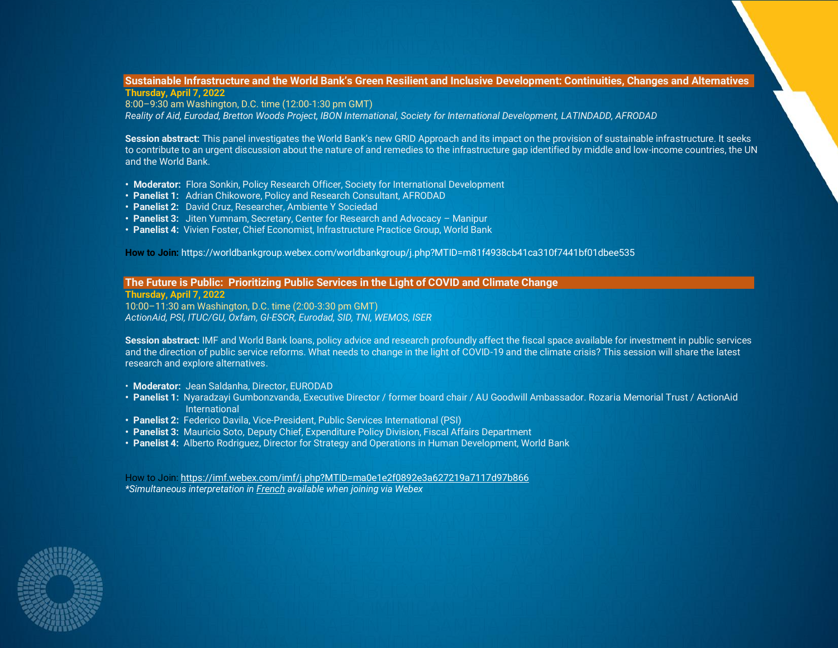## <span id="page-4-0"></span>**Sustainable Infrastructure and the World Bank's Green Resilient and Inclusive Development: Continuities, Changes and Alternatives Thursday, April 7, 2022**

8:00–9:30 am Washington, D.C. time (12:00-1:30 pm GMT) *Reality of Aid, Eurodad, Bretton Woods Project, IBON International, Society for International Development, LATINDADD, AFRODAD*

**Session abstract:** This panel investigates the World Bank's new GRID Approach and its impact on the provision of sustainable infrastructure. It seeks to contribute to an urgent discussion about the nature of and remedies to the infrastructure gap identified by middle and low-income countries, the UN and the World Bank.

- **• Moderator:** Flora Sonkin, Policy Research Officer, Society for International Development
- **• Panelist 1:** Adrian Chikowore, Policy and Research Consultant, AFRODAD
- **• Panelist 2:** David Cruz, Researcher, Ambiente Y Sociedad
- **• Panelist 3:** Jiten Yumnam, Secretary, Center for Research and Advocacy Manipur
- **Panelist 4:** Vivien Foster, Chief Economist, Infrastructure Practice Group, World Bank

**How to Join:** https://worldbankgroup.webex.com/worldbankgroup/j.php?MTID=m81f4938cb41ca310f7441bf01dbee535

## <span id="page-4-1"></span>**The Future is Public: Prioritizing Public Services in the Light of COVID and Climate Change**

**Thursday, April 7, 2022** 10:00–11:30 am Washington, D.C. time (2:00-3:30 pm GMT) *ActionAid, PSI, ITUC/GU, Oxfam, GI-ESCR, Eurodad, SID, TNI, WEMOS, ISER*

**Session abstract:** IMF and World Bank loans, policy advice and research profoundly affect the fiscal space available for investment in public services and the direction of public service reforms. What needs to change in the light of COVID-19 and the climate crisis? This session will share the latest research and explore alternatives.

- **Moderator:** Jean Saldanha, Director, EURODAD
- **• Panelist 1:** Nyaradzayi Gumbonzvanda, Executive Director / former board chair / AU Goodwill Ambassador. Rozaria Memorial Trust / ActionAid International
- **• Panelist 2:** Federico Davila, Vice-President, Public Services International (PSI)
- **• Panelist 3:** Mauricio Soto, Deputy Chief, Expenditure Policy Division, Fiscal Affairs Department
- **Panelist 4:** Alberto Rodriguez, Director for Strategy and Operations in Human Development, World Bank

How to Join: [https://imf.webex.com/imf/j.php?MTID=ma0e1e2f0892e3a627219a7117d97b866](https://nam10.safelinks.protection.outlook.com/?url=https%3A%2F%2Fimf.webex.com%2Fimf%2Fj.php%3FMTID%3Dma0e1e2f0892e3a627219a7117d97b866&data=04%7C01%7CAHowes%40imf.org%7C0dcd877d3ac84c954fdc08da12509a73%7C8085fa43302e45bdb171a6648c3b6be7%7C0%7C0%7C637842434951705437%7CUnknown%7CTWFpbGZsb3d8eyJWIjoiMC4wLjAwMDAiLCJQIjoiV2luMzIiLCJBTiI6Ik1haWwiLCJXVCI6Mn0%3D%7C3000&sdata=qAQfqv2axwkOlZqmKLoOKOyXefuBsHeAQEncmS%2FcWmE%3D&reserved=0) *\*Simultaneous interpretation in French available when joining via Webex*

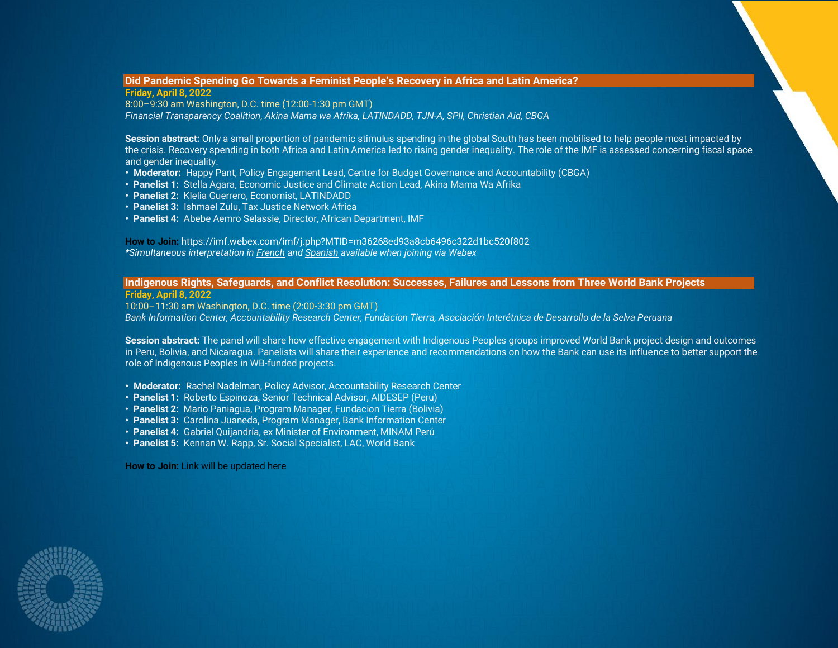## <span id="page-5-0"></span>**Did Pandemic Spending Go Towards a Feminist People's Recovery in Africa and Latin America?**

**Friday, April 8, 2022** 8:00–9:30 am Washington, D.C. time (12:00-1:30 pm GMT) *Financial Transparency Coalition, Akina Mama wa Afrika, LATINDADD, TJN-A, SPII, Christian Aid, CBGA*

**Session abstract:** Only a small proportion of pandemic stimulus spending in the global South has been mobilised to help people most impacted by the crisis. Recovery spending in both Africa and Latin America led to rising gender inequality. The role of the IMF is assessed concerning fiscal space and gender inequality.

- **• Moderator:** Happy Pant, Policy Engagement Lead, Centre for Budget Governance and Accountability (CBGA)
- **• Panelist 1:** Stella Agara, Economic Justice and Climate Action Lead, Akina Mama Wa Afrika
- **• Panelist 2:** Klelia Guerrero, Economist, LATINDADD
- **• Panelist 3:** Ishmael Zulu, Tax Justice Network Africa
- **• Panelist 4:** Abebe Aemro Selassie, Director, African Department, IMF

**How to Join:** [https://imf.webex.com/imf/j.php?MTID=m36268ed93a8cb6496c322d1bc520f802](https://nam10.safelinks.protection.outlook.com/?url=https%3A%2F%2Fimf.webex.com%2Fimf%2Fj.php%3FMTID%3Dm36268ed93a8cb6496c322d1bc520f802&data=04%7C01%7CAHowes%40imf.org%7C0dcd877d3ac84c954fdc08da12509a73%7C8085fa43302e45bdb171a6648c3b6be7%7C0%7C0%7C637842434951705437%7CUnknown%7CTWFpbGZsb3d8eyJWIjoiMC4wLjAwMDAiLCJQIjoiV2luMzIiLCJBTiI6Ik1haWwiLCJXVCI6Mn0%3D%7C3000&sdata=I52CXG%2FZInIJMPdbDOFGaYEUlU28MiVlOIoT8XWnmac%3D&reserved=0) *\*Simultaneous interpretation in French and Spanish available when joining via Webex*

## <span id="page-5-1"></span>**Indigenous Rights, Safeguards, and Conflict Resolution: Successes, Failures and Lessons from Three World Bank Projects**

**Friday, April 8, 2022**

10:00–11:30 am Washington, D.C. time (2:00-3:30 pm GMT) *Bank Information Center, Accountability Research Center, Fundacion Tierra, Asociación Interétnica de Desarrollo de la Selva Peruana*

Session abstract: The panel will share how effective engagement with Indigenous Peoples groups improved World Bank project design and outcomes in Peru, Bolivia, and Nicaragua. Panelists will share their experience and recommendations on how the Bank can use its influence to better support the role of Indigenous Peoples in WB-funded projects.

- **Moderator:** Rachel Nadelman, Policy Advisor, Accountability Research Center
- **Panelist 1:** Roberto Espinoza, Senior Technical Advisor, AIDESEP (Peru)
- **Panelist 2:** Mario Paniagua, Program Manager, Fundacion Tierra (Bolivia)
- **Panelist 3:** Carolina Juaneda, Program Manager, Bank Information Center
- **Panelist 4:** Gabriel Quijandría, ex Minister of Environment, MINAM Perú
- **Panelist 5:** Kennan W. Rapp, Sr. Social Specialist, LAC, World Bank

**How to Join:** Link will be updated here

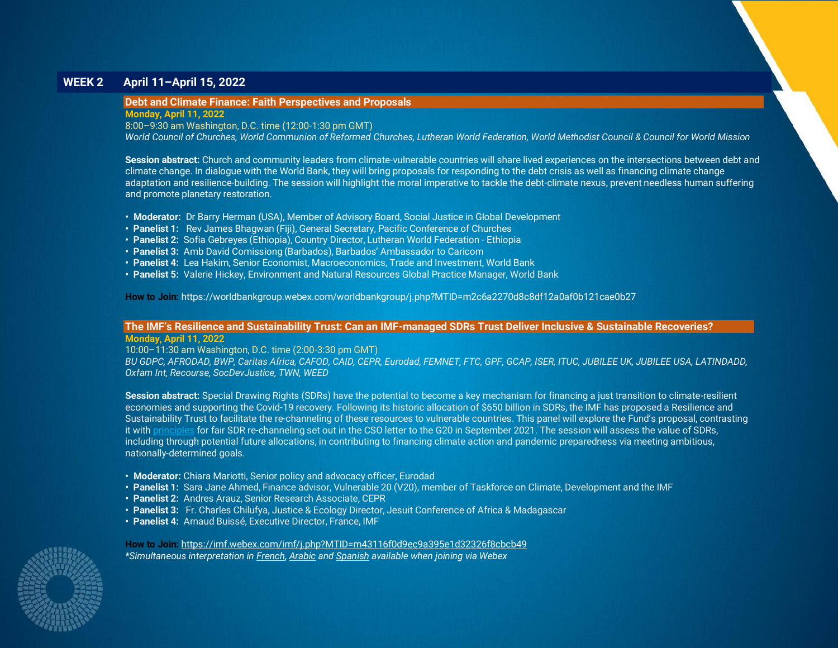## **WEEK 2 April 11–April 15, 2022**

## <span id="page-6-0"></span>**Debt and Climate Finance: Faith Perspectives and Proposals**

**Monday, April 11, 2022**

8:00–9:30 am Washington, D.C. time (12:00-1:30 pm GMT)

*World Council of Churches, World Communion of Reformed Churches, Lutheran World Federation, World Methodist Council & Council for World Mission*

**Session abstract:** Church and community leaders from climate-vulnerable countries will share lived experiences on the intersections between debt and climate change. In dialogue with the World Bank, they will bring proposals for responding to the debt crisis as well as financing climate change adaptation and resilience-building. The session will highlight the moral imperative to tackle the debt-climate nexus, prevent needless human suffering and promote planetary restoration.

- **Moderator:** Dr Barry Herman (USA), Member of Advisory Board, Social Justice in Global Development
- **Panelist 1:** Rev James Bhagwan (Fiji), General Secretary, Pacific Conference of Churches
- **• Panelist 2:** Sofia Gebreyes (Ethiopia), Country Director, Lutheran World Federation Ethiopia
- **Panelist 3:** Amb David Comissiong (Barbados), Barbados' Ambassador to Caricom
- **Panelist 4:** Lea Hakim, Senior Economist, Macroeconomics, Trade and Investment, World Bank
- **Panelist 5:** Valerie Hickey, Environment and Natural Resources Global Practice Manager, World Bank

**How to Join:** https://worldbankgroup.webex.com/worldbankgroup/j.php?MTID=m2c6a2270d8c8df12a0af0b121cae0b27

## <span id="page-6-1"></span>**The IMF's Resilience and Sustainability Trust: Can an IMF-managed SDRs Trust Deliver Inclusive & Sustainable Recoveries? Monday, April 11, 2022**

10:00–11:30 am Washington, D.C. time (2:00-3:30 pm GMT) *BU GDPC, AFRODAD, BWP, Caritas Africa, CAFOD, CAID, CEPR, Eurodad, FEMNET, FTC, GPF, GCAP, ISER, ITUC, JUBILEE UK, JUBILEE USA, LATINDADD,* 

*Oxfam Int, Recourse, SocDevJustice, TWN, WEED*

**Session abstract:** Special Drawing Rights (SDRs) have the potential to become a key mechanism for financing a just transition to climate-resilient economies and supporting the Covid-19 recovery. Following its historic allocation of \$650 billion in SDRs, the IMF has proposed a Resilience and Sustainability Trust to facilitate the re-channeling of these resources to vulnerable countries. This panel will explore the Fund's proposal, contrasting it with [principles](https://medium.com/@OxfamIFIs/civil-society-organizations-call-for-principles-for-fair-channeling-of-special-drawing-rights-2f3795cdb14c) for fair SDR re-channeling set out in the CSO letter to the G20 in September 2021. The session will assess the value of SDRs, including through potential future allocations, in contributing to financing climate action and pandemic preparedness via meeting ambitious, nationally-determined goals.

- **Moderator:** Chiara Mariotti, Senior policy and advocacy officer, Eurodad
- **Panelist 1:** Sara Jane Ahmed, Finance advisor, Vulnerable 20 (V20), member of Taskforce on Climate, Development and the IMF
- **Panelist 2:** Andres Arauz, Senior Research Associate, CEPR
- **Panelist 3:** Fr. Charles Chilufya, Justice & Ecology Director, Jesuit Conference of Africa & Madagascar
- **Panelist 4:** Arnaud Buissé, Executive Director, France, IMF

**How to Join:** [https://imf.webex.com/imf/j.php?MTID=m43116f0d9ec9a395e1d32326f8cbcb49](https://nam10.safelinks.protection.outlook.com/?url=https%3A%2F%2Fimf.webex.com%2Fimf%2Fj.php%3FMTID%3Dm43116f0d9ec9a395e1d32326f8cbcb49&data=04%7C01%7CAHowes%40imf.org%7C0dcd877d3ac84c954fdc08da12509a73%7C8085fa43302e45bdb171a6648c3b6be7%7C0%7C0%7C637842434951705437%7CUnknown%7CTWFpbGZsb3d8eyJWIjoiMC4wLjAwMDAiLCJQIjoiV2luMzIiLCJBTiI6Ik1haWwiLCJXVCI6Mn0%3D%7C3000&sdata=4tPb1Ay1kEvi4%2BJ9O%2FlLwAFIrqZ81t%2BNzIGOO6vgEpA%3D&reserved=0) *\*Simultaneous interpretation in French, Arabic and Spanish available when joining via Webex*

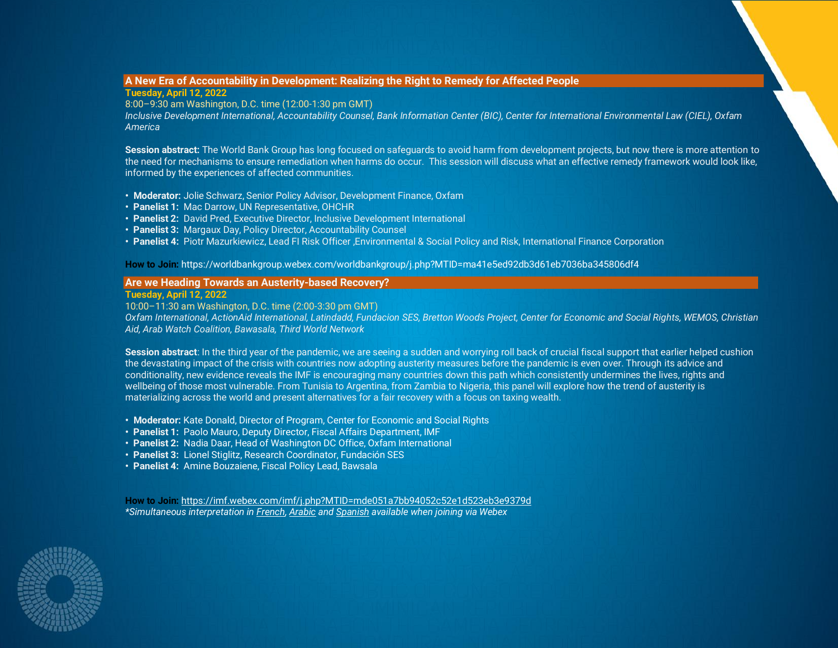## <span id="page-7-0"></span>**A New Era of Accountability in Development: Realizing the Right to Remedy for Affected People**

**Tuesday, April 12, 2022**

8:00–9:30 am Washington, D.C. time (12:00-1:30 pm GMT)

*Inclusive Development International, Accountability Counsel, Bank Information Center (BIC), Center for International Environmental Law (CIEL), Oxfam America*

**Session abstract:** The World Bank Group has long focused on safeguards to avoid harm from development projects, but now there is more attention to the need for mechanisms to ensure remediation when harms do occur. This session will discuss what an effective remedy framework would look like, informed by the experiences of affected communities.

- **Moderator:** Jolie Schwarz, Senior Policy Advisor, Development Finance, Oxfam
- **Panelist 1:** Mac Darrow, UN Representative, OHCHR
- **Panelist 2:** David Pred, Executive Director, Inclusive Development International
- **Panelist 3:** Margaux Day, Policy Director, Accountability Counsel
- **Panelist 4:** Piotr Mazurkiewicz, Lead FI Risk Officer ,Environmental & Social Policy and Risk, International Finance Corporation

**How to Join:** https://worldbankgroup.webex.com/worldbankgroup/j.php?MTID=ma41e5ed92db3d61eb7036ba345806df4

## <span id="page-7-1"></span>**Are we Heading Towards an Austerity-based Recovery?**

**Tuesday, April 12, 2022**

10:00–11:30 am Washington, D.C. time (2:00-3:30 pm GMT)

*Oxfam International, ActionAid International, Latindadd, Fundacion SES, Bretton Woods Project, Center for Economic and Social Rights, WEMOS, Christian Aid, Arab Watch Coalition, Bawasala, Third World Network*

**Session abstract**: In the third year of the pandemic, we are seeing a sudden and worrying roll back of crucial fiscal support that earlier helped cushion the devastating impact of the crisis with countries now adopting austerity measures before the pandemic is even over. Through its advice and conditionality, new evidence reveals the IMF is encouraging many countries down this path which consistently undermines the lives, rights and wellbeing of those most vulnerable. From Tunisia to Argentina, from Zambia to Nigeria, this panel will explore how the trend of austerity is materializing across the world and present alternatives for a fair recovery with a focus on taxing wealth.

- **Moderator:** Kate Donald, Director of Program, Center for Economic and Social Rights
- **Panelist 1:** Paolo Mauro, Deputy Director, Fiscal Affairs Department, IMF
- **Panelist 2:** Nadia Daar, Head of Washington DC Office, Oxfam International
- **Panelist 3:** Lionel Stiglitz, Research Coordinator, Fundación SES
- **Panelist 4:** Amine Bouzaiene, Fiscal Policy Lead, Bawsala

**How to Join:** [https://imf.webex.com/imf/j.php?MTID=mde051a7bb94052c52e1d523eb3e9379d](https://nam10.safelinks.protection.outlook.com/?url=https%3A%2F%2Fimf.webex.com%2Fimf%2Fj.php%3FMTID%3Dmde051a7bb94052c52e1d523eb3e9379d&data=04%7C01%7CAHowes%40imf.org%7C0dcd877d3ac84c954fdc08da12509a73%7C8085fa43302e45bdb171a6648c3b6be7%7C0%7C0%7C637842434951705437%7CUnknown%7CTWFpbGZsb3d8eyJWIjoiMC4wLjAwMDAiLCJQIjoiV2luMzIiLCJBTiI6Ik1haWwiLCJXVCI6Mn0%3D%7C3000&sdata=Frce1ijIk6KjYfQPJquBn%2FI92uFjUqzBFGEdmJetbbc%3D&reserved=0) *\*Simultaneous interpretation in French, Arabic and Spanish available when joining via Webex*

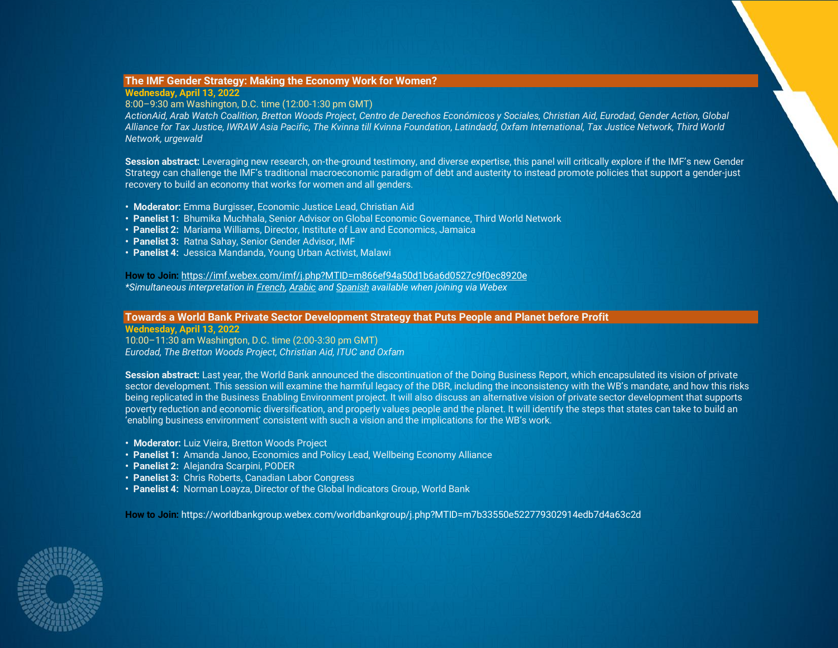## <span id="page-8-0"></span>**The IMF Gender Strategy: Making the Economy Work for Women?**

## **Wednesday, April 13, 2022**

## 8:00–9:30 am Washington, D.C. time (12:00-1:30 pm GMT)

*ActionAid, Arab Watch Coalition, Bretton Woods Project, Centro de Derechos Económicos y Sociales, Christian Aid, Eurodad, Gender Action, Global Alliance for Tax Justice, IWRAW Asia Pacific, The Kvinna till Kvinna Foundation, Latindadd, Oxfam International, Tax Justice Network, Third World Network, urgewald*

**Session abstract:** Leveraging new research, on-the-ground testimony, and diverse expertise, this panel will critically explore if the IMF's new Gender Strategy can challenge the IMF's traditional macroeconomic paradigm of debt and austerity to instead promote policies that support a gender-just recovery to build an economy that works for women and all genders.

- **Moderator:** Emma Burgisser, Economic Justice Lead, Christian Aid
- **Panelist 1:** Bhumika Muchhala, Senior Advisor on Global Economic Governance, Third World Network
- **Panelist 2:** Mariama Williams, Director, Institute of Law and Economics, Jamaica
- **Panelist 3:** Ratna Sahay, Senior Gender Advisor, IMF
- **Panelist 4:** Jessica Mandanda, Young Urban Activist, Malawi

**How to Join:** [https://imf.webex.com/imf/j.php?MTID=m866ef94a50d1b6a6d0527c9f0ec8920e](https://nam10.safelinks.protection.outlook.com/?url=https%3A%2F%2Fimf.webex.com%2Fimf%2Fj.php%3FMTID%3Dm866ef94a50d1b6a6d0527c9f0ec8920e&data=04%7C01%7CAHowes%40imf.org%7C0dcd877d3ac84c954fdc08da12509a73%7C8085fa43302e45bdb171a6648c3b6be7%7C0%7C0%7C637842434951705437%7CUnknown%7CTWFpbGZsb3d8eyJWIjoiMC4wLjAwMDAiLCJQIjoiV2luMzIiLCJBTiI6Ik1haWwiLCJXVCI6Mn0%3D%7C3000&sdata=RaZHcfGDpdD2jZD1CBKEMNrBxWHygglOrPxwc%2F4%2B1Nw%3D&reserved=0) *\*Simultaneous interpretation in French, Arabic and Spanish available when joining via Webex*

## <span id="page-8-1"></span>**Towards a World Bank Private Sector Development Strategy that Puts People and Planet before Profit Wednesday, April 13, 2022**

10:00–11:30 am Washington, D.C. time (2:00-3:30 pm GMT) *Eurodad, The Bretton Woods Project, Christian Aid, ITUC and Oxfam*

**Session abstract:** Last year, the World Bank announced the discontinuation of the Doing Business Report, which encapsulated its vision of private sector development. This session will examine the harmful legacy of the DBR, including the inconsistency with the WB's mandate, and how this risks being replicated in the Business Enabling Environment project. It will also discuss an alternative vision of private sector development that supports poverty reduction and economic diversification, and properly values people and the planet. It will identify the steps that states can take to build an 'enabling business environment' consistent with such a vision and the implications for the WB's work.

- **Moderator:** Luiz Vieira, Bretton Woods Project
- **Panelist 1:** Amanda Janoo, Economics and Policy Lead, Wellbeing Economy Alliance
- **Panelist 2:** Alejandra Scarpini, PODER
- **Panelist 3:** Chris Roberts, Canadian Labor Congress
- **Panelist 4:** Norman Loayza, Director of the Global Indicators Group, World Bank

**How to Join:** https://worldbankgroup.webex.com/worldbankgroup/j.php?MTID=m7b33550e522779302914edb7d4a63c2d

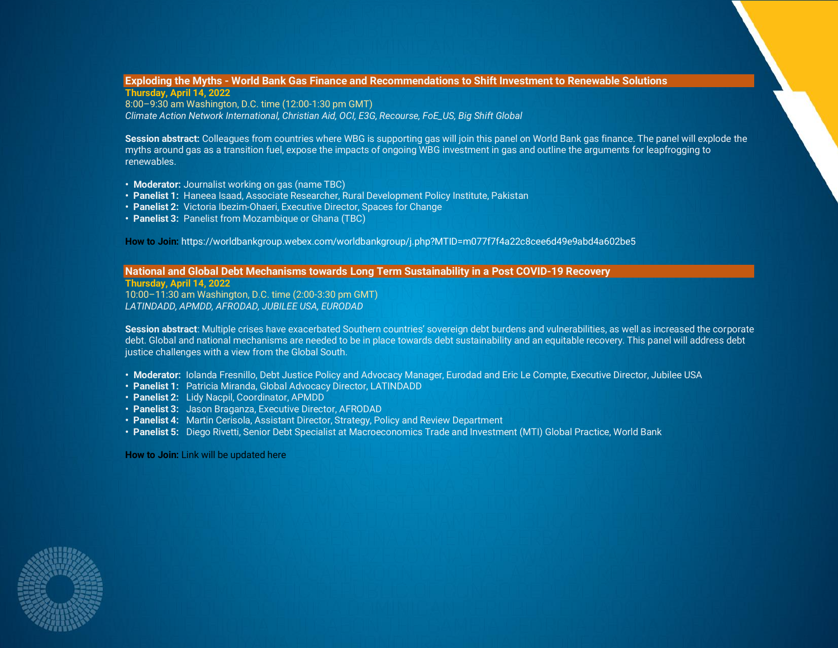## <span id="page-9-0"></span>**Exploding the Myths - World Bank Gas Finance and Recommendations to Shift Investment to Renewable Solutions Thursday, April 14, 2022**

8:00–9:30 am Washington, D.C. time (12:00-1:30 pm GMT) *Climate Action Network International, Christian Aid, OCI, E3G, Recourse, FoE\_US, Big Shift Global*

**Session abstract:** Colleagues from countries where WBG is supporting gas will join this panel on World Bank gas finance. The panel will explode the myths around gas as a transition fuel, expose the impacts of ongoing WBG investment in gas and outline the arguments for leapfrogging to renewables.

- **Moderator:** Journalist working on gas (name TBC)
- **Panelist 1:** Haneea Isaad, Associate Researcher, Rural Development Policy Institute, Pakistan
- **Panelist 2:** Victoria Ibezim-Ohaeri, Executive Director, Spaces for Change
- **Panelist 3:** Panelist from Mozambique or Ghana (TBC)

**How to Join:** https://worldbankgroup.webex.com/worldbankgroup/j.php?MTID=m077f7f4a22c8cee6d49e9abd4a602be5

<span id="page-9-1"></span>**National and Global Debt Mechanisms towards Long Term Sustainability in a Post COVID-19 Recovery**

**Thursday, April 14, 2022** 10:00–11:30 am Washington, D.C. time (2:00-3:30 pm GMT) *LATINDADD, APMDD, AFRODAD, JUBILEE USA, EURODAD*

**Session abstract**: Multiple crises have exacerbated Southern countries' sovereign debt burdens and vulnerabilities, as well as increased the corporate debt. Global and national mechanisms are needed to be in place towards debt sustainability and an equitable recovery. This panel will address debt justice challenges with a view from the Global South.

- **Moderator:** Iolanda Fresnillo, Debt Justice Policy and Advocacy Manager, Eurodad and Eric Le Compte, Executive Director, Jubilee USA
- **Panelist 1:** Patricia Miranda, Global Advocacy Director, LATINDADD
- **Panelist 2:** Lidy Nacpil, Coordinator, APMDD
- **Panelist 3:** Jason Braganza, Executive Director, AFRODAD
- **Panelist 4:** Martin Cerisola, Assistant Director, Strategy, Policy and Review Department
- **Panelist 5:** Diego Rivetti, Senior Debt Specialist at Macroeconomics Trade and Investment (MTI) Global Practice, World Bank

**How to Join:** Link will be updated here